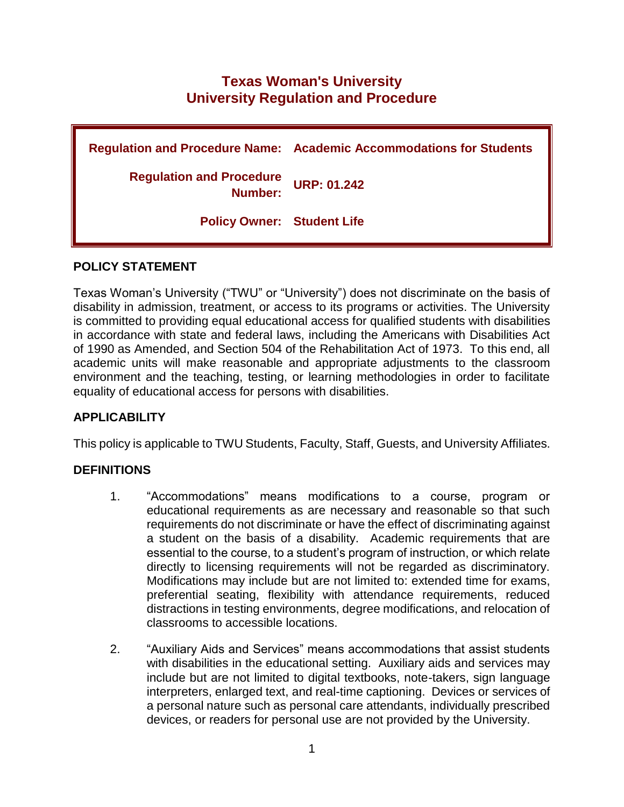# **Texas Woman's University University Regulation and Procedure**

**Regulation and Procedure Name: Academic Accommodations for Students Regulation and Procedure Number: URP: 01.242 Policy Owner: Student Life**

#### **POLICY STATEMENT**

Texas Woman's University ("TWU" or "University") does not discriminate on the basis of disability in admission, treatment, or access to its programs or activities. The University is committed to providing equal educational access for qualified students with disabilities in accordance with state and federal laws, including the Americans with Disabilities Act of 1990 as Amended, and Section 504 of the Rehabilitation Act of 1973. To this end, all academic units will make reasonable and appropriate adjustments to the classroom environment and the teaching, testing, or learning methodologies in order to facilitate equality of educational access for persons with disabilities.

#### **APPLICABILITY**

This policy is applicable to TWU Students, Faculty, Staff, Guests, and University Affiliates.

#### **DEFINITIONS**

- 1. "Accommodations" means modifications to a course, program or educational requirements as are necessary and reasonable so that such requirements do not discriminate or have the effect of discriminating against a student on the basis of a disability. Academic requirements that are essential to the course, to a student's program of instruction, or which relate directly to licensing requirements will not be regarded as discriminatory. Modifications may include but are not limited to: extended time for exams, preferential seating, flexibility with attendance requirements, reduced distractions in testing environments, degree modifications, and relocation of classrooms to accessible locations.
- 2. "Auxiliary Aids and Services" means accommodations that assist students with disabilities in the educational setting. Auxiliary aids and services may include but are not limited to digital textbooks, note-takers, sign language interpreters, enlarged text, and real-time captioning. Devices or services of a personal nature such as personal care attendants, individually prescribed devices, or readers for personal use are not provided by the University.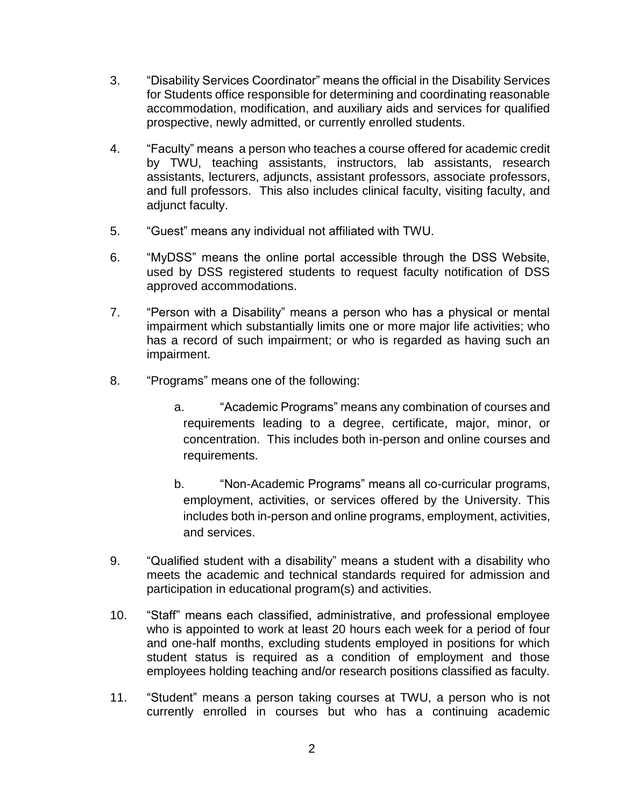- 3. "Disability Services Coordinator" means the official in the Disability Services for Students office responsible for determining and coordinating reasonable accommodation, modification, and auxiliary aids and services for qualified prospective, newly admitted, or currently enrolled students.
- 4. "Faculty" means a person who teaches a course offered for academic credit by TWU, teaching assistants, instructors, lab assistants, research assistants, lecturers, adjuncts, assistant professors, associate professors, and full professors. This also includes clinical faculty, visiting faculty, and adjunct faculty.
- 5. "Guest" means any individual not affiliated with TWU.
- 6. "MyDSS" means the online portal accessible through the DSS Website, used by DSS registered students to request faculty notification of DSS approved accommodations.
- 7. "Person with a Disability" means a person who has a physical or mental impairment which substantially limits one or more major life activities; who has a record of such impairment; or who is regarded as having such an impairment.
- 8. "Programs" means one of the following:
	- a. "Academic Programs" means any combination of courses and requirements leading to a degree, certificate, major, minor, or concentration. This includes both in-person and online courses and requirements.
	- b. "Non-Academic Programs" means all co-curricular programs, employment, activities, or services offered by the University. This includes both in-person and online programs, employment, activities, and services.
- 9. "Qualified student with a disability" means a student with a disability who meets the academic and technical standards required for admission and participation in educational program(s) and activities.
- 10. "Staff" means each classified, administrative, and professional employee who is appointed to work at least 20 hours each week for a period of four and one-half months, excluding students employed in positions for which student status is required as a condition of employment and those employees holding teaching and/or research positions classified as faculty.
- 11. "Student" means a person taking courses at TWU, a person who is not currently enrolled in courses but who has a continuing academic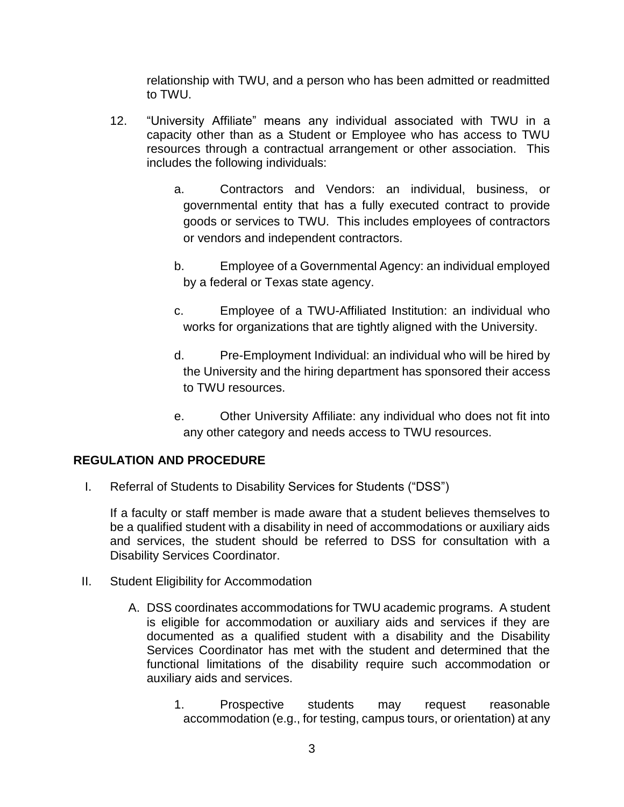relationship with TWU, and a person who has been admitted or readmitted to TWU.

- 12. "University Affiliate" means any individual associated with TWU in a capacity other than as a Student or Employee who has access to TWU resources through a contractual arrangement or other association. This includes the following individuals:
	- a. Contractors and Vendors: an individual, business, or governmental entity that has a fully executed contract to provide goods or services to TWU. This includes employees of contractors or vendors and independent contractors.
	- b. Employee of a Governmental Agency: an individual employed by a federal or Texas state agency.
	- c. Employee of a TWU-Affiliated Institution: an individual who works for organizations that are tightly aligned with the University.
	- d. Pre-Employment Individual: an individual who will be hired by the University and the hiring department has sponsored their access to TWU resources.
	- e. Other University Affiliate: any individual who does not fit into any other category and needs access to TWU resources.

#### **REGULATION AND PROCEDURE**

I. Referral of Students to Disability Services for Students ("DSS")

If a faculty or staff member is made aware that a student believes themselves to be a qualified student with a disability in need of accommodations or auxiliary aids and services, the student should be referred to DSS for consultation with a Disability Services Coordinator.

- II. Student Eligibility for Accommodation
	- A. DSS coordinates accommodations for TWU academic programs. A student is eligible for accommodation or auxiliary aids and services if they are documented as a qualified student with a disability and the Disability Services Coordinator has met with the student and determined that the functional limitations of the disability require such accommodation or auxiliary aids and services.
		- 1. Prospective students may request reasonable accommodation (e.g., for testing, campus tours, or orientation) at any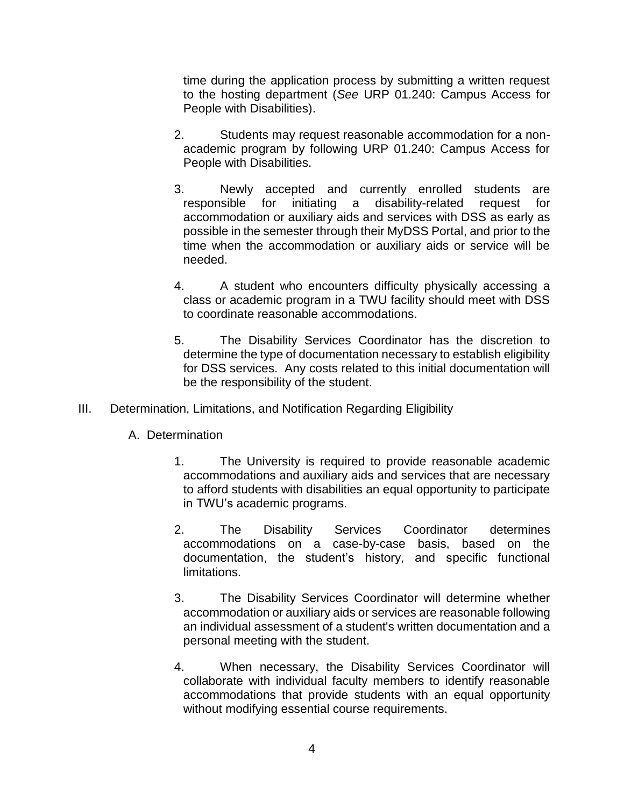time during the application process by submitting a written request to the hosting department (*See* URP 01.240: Campus Access for People with Disabilities).

- 2. Students may request reasonable accommodation for a nonacademic program by following URP 01.240: Campus Access for People with Disabilities.
- 3. Newly accepted and currently enrolled students are responsible for initiating a disability-related request for accommodation or auxiliary aids and services with DSS as early as possible in the semester through their MyDSS Portal, and prior to the time when the accommodation or auxiliary aids or service will be needed.
- 4. A student who encounters difficulty physically accessing a class or academic program in a TWU facility should meet with DSS to coordinate reasonable accommodations.
- 5. The Disability Services Coordinator has the discretion to determine the type of documentation necessary to establish eligibility for DSS services. Any costs related to this initial documentation will be the responsibility of the student.
- III. Determination, Limitations, and Notification Regarding Eligibility
	- A. Determination
		- 1. The University is required to provide reasonable academic accommodations and auxiliary aids and services that are necessary to afford students with disabilities an equal opportunity to participate in TWU's academic programs.
		- 2. The Disability Services Coordinator determines accommodations on a case-by-case basis, based on the documentation, the student's history, and specific functional limitations.
		- 3. The Disability Services Coordinator will determine whether accommodation or auxiliary aids or services are reasonable following an individual assessment of a student's written documentation and a personal meeting with the student.
		- 4. When necessary, the Disability Services Coordinator will collaborate with individual faculty members to identify reasonable accommodations that provide students with an equal opportunity without modifying essential course requirements.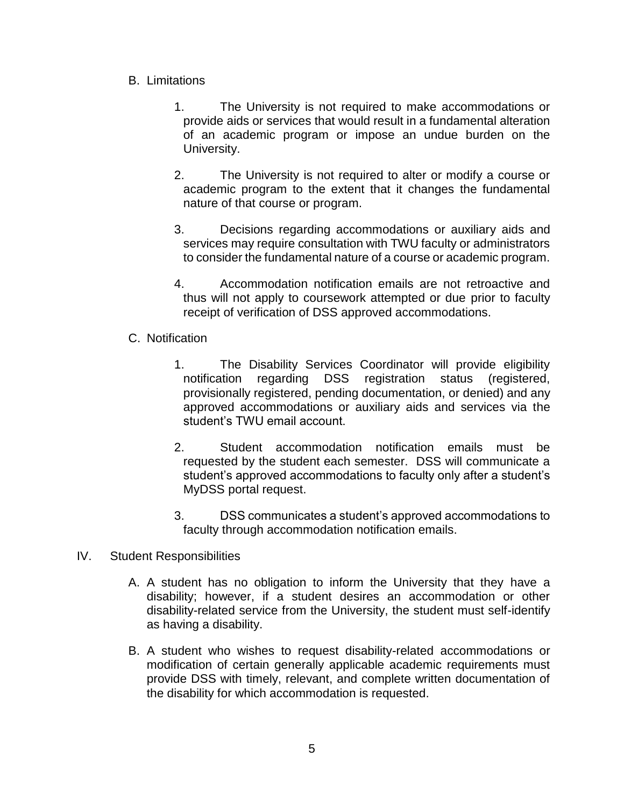- B. Limitations
	- 1. The University is not required to make accommodations or provide aids or services that would result in a fundamental alteration of an academic program or impose an undue burden on the University.
	- 2. The University is not required to alter or modify a course or academic program to the extent that it changes the fundamental nature of that course or program.
	- 3. Decisions regarding accommodations or auxiliary aids and services may require consultation with TWU faculty or administrators to consider the fundamental nature of a course or academic program.
	- 4. Accommodation notification emails are not retroactive and thus will not apply to coursework attempted or due prior to faculty receipt of verification of DSS approved accommodations.
- C. Notification
	- 1. The Disability Services Coordinator will provide eligibility notification regarding DSS registration status (registered, provisionally registered, pending documentation, or denied) and any approved accommodations or auxiliary aids and services via the student's TWU email account.
	- 2. Student accommodation notification emails must be requested by the student each semester. DSS will communicate a student's approved accommodations to faculty only after a student's MyDSS portal request.
	- 3. DSS communicates a student's approved accommodations to faculty through accommodation notification emails.
- IV. Student Responsibilities
	- A. A student has no obligation to inform the University that they have a disability; however, if a student desires an accommodation or other disability-related service from the University, the student must self-identify as having a disability.
	- B. A student who wishes to request disability-related accommodations or modification of certain generally applicable academic requirements must provide DSS with timely, relevant, and complete written documentation of the disability for which accommodation is requested.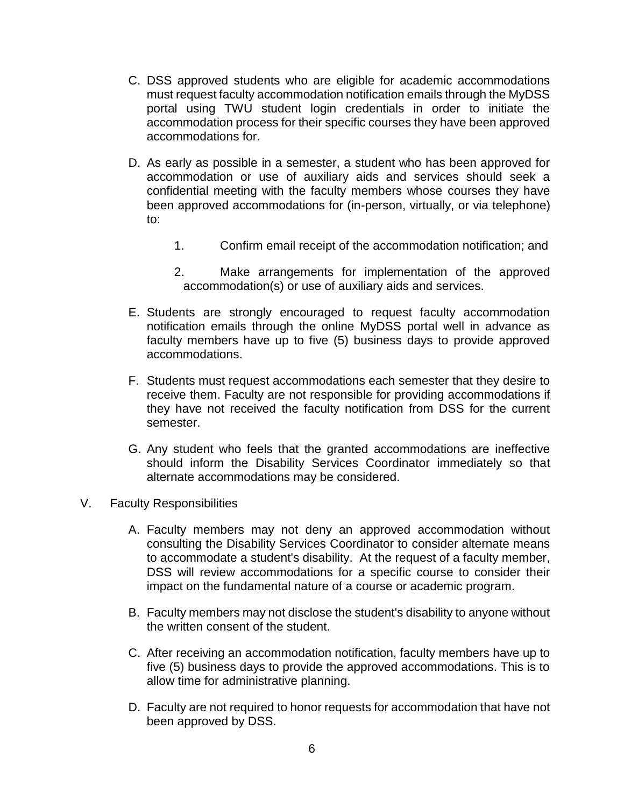- C. DSS approved students who are eligible for academic accommodations must request faculty accommodation notification emails through the MyDSS portal using TWU student login credentials in order to initiate the accommodation process for their specific courses they have been approved accommodations for.
- D. As early as possible in a semester, a student who has been approved for accommodation or use of auxiliary aids and services should seek a confidential meeting with the faculty members whose courses they have been approved accommodations for (in-person, virtually, or via telephone) to:
	- 1. Confirm email receipt of the accommodation notification; and
	- 2. Make arrangements for implementation of the approved accommodation(s) or use of auxiliary aids and services.
- E. Students are strongly encouraged to request faculty accommodation notification emails through the online MyDSS portal well in advance as faculty members have up to five (5) business days to provide approved accommodations.
- F. Students must request accommodations each semester that they desire to receive them. Faculty are not responsible for providing accommodations if they have not received the faculty notification from DSS for the current semester.
- G. Any student who feels that the granted accommodations are ineffective should inform the Disability Services Coordinator immediately so that alternate accommodations may be considered.
- V. Faculty Responsibilities
	- A. Faculty members may not deny an approved accommodation without consulting the Disability Services Coordinator to consider alternate means to accommodate a student's disability. At the request of a faculty member, DSS will review accommodations for a specific course to consider their impact on the fundamental nature of a course or academic program.
	- B. Faculty members may not disclose the student's disability to anyone without the written consent of the student.
	- C. After receiving an accommodation notification, faculty members have up to five (5) business days to provide the approved accommodations. This is to allow time for administrative planning.
	- D. Faculty are not required to honor requests for accommodation that have not been approved by DSS.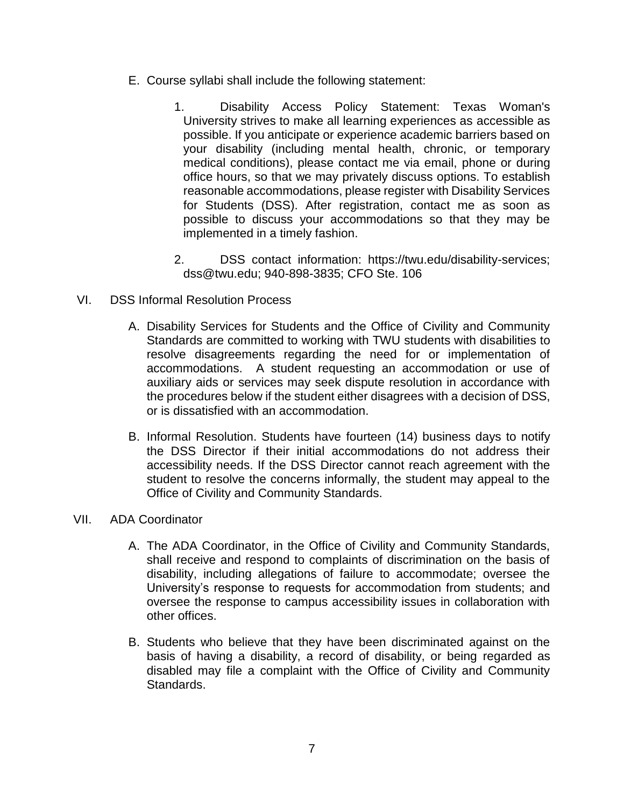- E. Course syllabi shall include the following statement:
	- 1. Disability Access Policy Statement: Texas Woman's University strives to make all learning experiences as accessible as possible. If you anticipate or experience academic barriers based on your disability (including mental health, chronic, or temporary medical conditions), please contact me via email, phone or during office hours, so that we may privately discuss options. To establish reasonable accommodations, please register with Disability Services for Students (DSS). After registration, contact me as soon as possible to discuss your accommodations so that they may be implemented in a timely fashion.
	- 2. DSS contact information: https://twu.edu/disability-services; dss@twu.edu; 940-898-3835; CFO Ste. 106
- VI. DSS Informal Resolution Process
	- A. Disability Services for Students and the Office of Civility and Community Standards are committed to working with TWU students with disabilities to resolve disagreements regarding the need for or implementation of accommodations. A student requesting an accommodation or use of auxiliary aids or services may seek dispute resolution in accordance with the procedures below if the student either disagrees with a decision of DSS, or is dissatisfied with an accommodation.
	- B. Informal Resolution. Students have fourteen (14) business days to notify the DSS Director if their initial accommodations do not address their accessibility needs. If the DSS Director cannot reach agreement with the student to resolve the concerns informally, the student may appeal to the Office of Civility and Community Standards.
- VII. ADA Coordinator
	- A. The ADA Coordinator, in the Office of Civility and Community Standards, shall receive and respond to complaints of discrimination on the basis of disability, including allegations of failure to accommodate; oversee the University's response to requests for accommodation from students; and oversee the response to campus accessibility issues in collaboration with other offices.
	- B. Students who believe that they have been discriminated against on the basis of having a disability, a record of disability, or being regarded as disabled may file a complaint with the Office of Civility and Community Standards.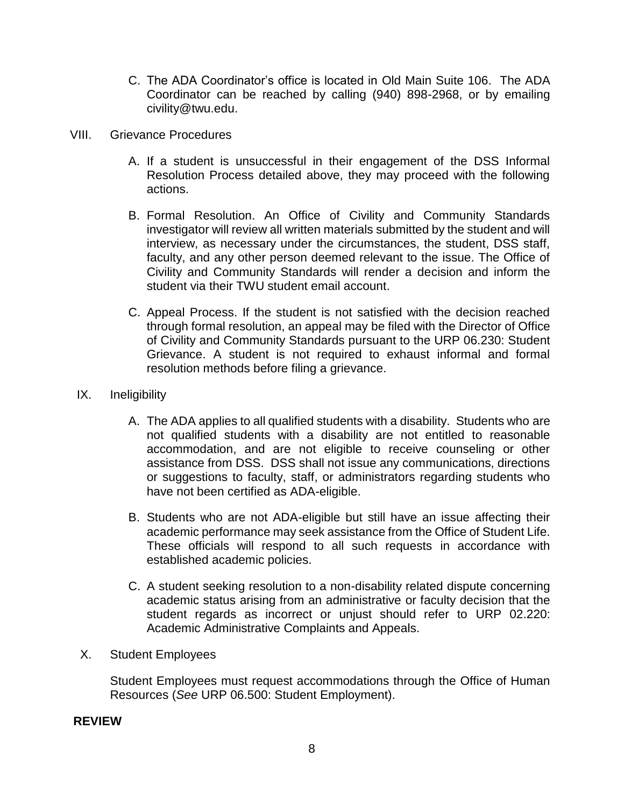- C. The ADA Coordinator's office is located in Old Main Suite 106. The ADA Coordinator can be reached by calling (940) 898-2968, or by emailing civility@twu.edu.
- VIII. Grievance Procedures
	- A. If a student is unsuccessful in their engagement of the DSS Informal Resolution Process detailed above, they may proceed with the following actions.
	- B. Formal Resolution. An Office of Civility and Community Standards investigator will review all written materials submitted by the student and will interview, as necessary under the circumstances, the student, DSS staff, faculty, and any other person deemed relevant to the issue. The Office of Civility and Community Standards will render a decision and inform the student via their TWU student email account.
	- C. Appeal Process. If the student is not satisfied with the decision reached through formal resolution, an appeal may be filed with the Director of Office of Civility and Community Standards pursuant to the URP 06.230: Student Grievance. A student is not required to exhaust informal and formal resolution methods before filing a grievance.
	- IX. Ineligibility
		- A. The ADA applies to all qualified students with a disability. Students who are not qualified students with a disability are not entitled to reasonable accommodation, and are not eligible to receive counseling or other assistance from DSS. DSS shall not issue any communications, directions or suggestions to faculty, staff, or administrators regarding students who have not been certified as ADA-eligible.
		- B. Students who are not ADA-eligible but still have an issue affecting their academic performance may seek assistance from the Office of Student Life. These officials will respond to all such requests in accordance with established academic policies.
		- C. A student seeking resolution to a non-disability related dispute concerning academic status arising from an administrative or faculty decision that the student regards as incorrect or unjust should refer to URP 02.220: Academic Administrative Complaints and Appeals.
	- X. Student Employees

Student Employees must request accommodations through the Office of Human Resources (*See* URP 06.500: Student Employment).

#### **REVIEW**